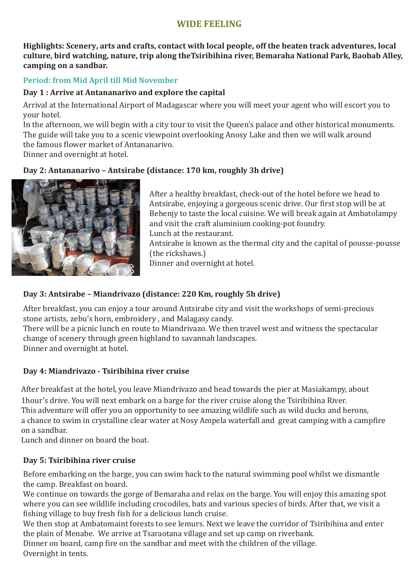# **WIDE FEELING**

**Highlights: Scenery, arts and crafts, contact with local people, off the beaten track adventures, local culture, bird watching, nature, trip along theTsiribihina river, Bemaraha National Park, Baobab Alley, camping on a sandbar.**

## **Period: from Mid April till Mid November**

#### **Day 1 : Arrive at Antananarivo and explore the capital**

Arrival at the International Airport of Madagascar where you will meet your agent who will escort you to your hotel.

In the afternoon, we will begin with a city tour to visit the Queen's palace and other historical monuments. The guide will take you to a scenic viewpoint overlooking Anosy Lake and then we will walk around the famous flower market of Antananarivo.

Dinner and overnight at hotel.

## **Day 2: Antananarivo – Antsirabe (distance: 170 km, roughly 3h drive)**



After a healthy breakfast, check-out of the hotel before we head to Antsirabe, enjoying a gorgeous scenic drive. Our first stop will be at Behenjy to taste the local cuisine. We will break again at Ambatolampy and visit the craft aluminium cooking-pot foundry. Lunch at the restaurant. Antsirabe is known as the thermal city and the capital of pousse-pousse (the rickshaws.) Dinner and overnight at hotel.

# **Day 3: Antsirabe – Miandrivazo (distance: 220 Km, roughly 5h drive)**

After breakfast, you can enjoy a tour around Antsirabe city and visit the workshops of semi-precious stone artists, zebu's horn, embroidery , and Malagasy candy.

There will be a picnic lunch en route to Miandrivazo. We then travel west and witness the spectacular change of scenery through green highland to savannah landscapes.

Dinner and overnight at hotel.

### **Day 4: Miandrivazo - Tsiribihina river cruise**

After breakfast at the hotel, you leave Miandrivazo and head towards the pier at Masiakampy, about 1hour's drive. You will next embark on a barge for the river cruise along the Tsiribihina River. This adventure will offer you an opportunity to see amazing wildlife such as wild ducks and herons, a chance to swim in crystalline clear water at Nosy Ampela waterfall and great camping with a campfire on a sandbar.

Lunch and dinner on board the boat.

### **Day 5: Tsiribihina river cruise**

Before embarking on the barge, you can swim back to the natural swimming pool whilst we dismantle the camp. Breakfast on board.

We continue on towards the gorge of Bemaraha and relax on the barge. You will enjoy this amazing spot where you can see wildlife including crocodiles, bats and various species of birds. After that, we visit a fishing village to buy fresh fish for a delicious lunch cruise.

We then stop at Ambatomaint forests to see lemurs. Next we leave the corridor of Tsiribihina and enter the plain of Menabe. We arrive at Tsaraotana village and set up camp on riverbank.

Dinner on board, camp fire on the sandbar and meet with the children of the village. Overnight in tents.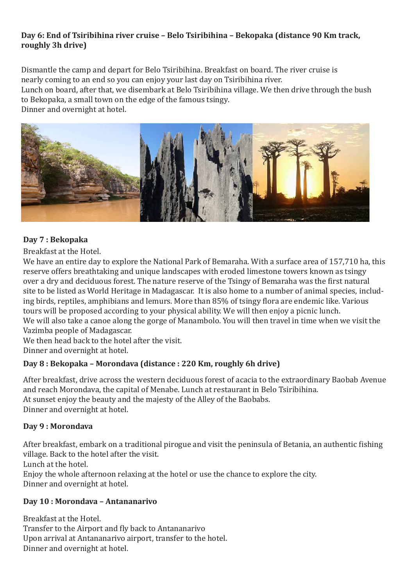### **Day 6: End of Tsiribihina river cruise – Belo Tsiribihina – Bekopaka (distance 90 Km track, roughly 3h drive)**

Dismantle the camp and depart for Belo Tsiribihina. Breakfast on board. The river cruise is nearly coming to an end so you can enjoy your last day on Tsiribihina river.

Lunch on board, after that, we disembark at Belo Tsiribihina village. We then drive through the bush to Bekopaka, a small town on the edge of the famous tsingy.

Dinner and overnight at hotel.



### **Day 7 : Bekopaka**

Breakfast at the Hotel.

We have an entire day to explore the National Park of Bemaraha. With a surface area of 157,710 ha, this reserve offers breathtaking and unique landscapes with eroded limestone towers known as tsingy over a dry and deciduous forest. The nature reserve of the Tsingy of Bemaraha was the �irst natural site to be listed as World Heritage in Madagascar. It is also home to a number of animal species, including birds, reptiles, amphibians and lemurs. More than 85% of tsingy flora are endemic like. Various tours will be proposed according to your physical ability. We will then enjoy a picnic lunch. We will also take a canoe along the gorge of Manambolo. You will then travel in time when we visit the Vazimba people of Madagascar.

We then head back to the hotel after the visit. Dinner and overnight at hotel.

### **Day 8 : Bekopaka – Morondava (distance : 220 Km, roughly 6h drive)**

After breakfast, drive across the western deciduous forest of acacia to the extraordinary Baobab Avenue and reach Morondava, the capital of Menabe. Lunch at restaurant in Belo Tsiribihina. At sunset enjoy the beauty and the majesty of the Alley of the Baobabs. Dinner and overnight at hotel.

### **Day 9 : Morondava**

After breakfast, embark on a traditional pirogue and visit the peninsula of Betania, an authentic fishing village. Back to the hotel after the visit.

Lunch at the hotel.

Enjoy the whole afternoon relaxing at the hotel or use the chance to explore the city. Dinner and overnight at hotel.

#### **Day 10 : Morondava – Antananarivo**

Breakfast at the Hotel. Transfer to the Airport and fly back to Antananarivo Upon arrival at Antananarivo airport, transfer to the hotel. Dinner and overnight at hotel.